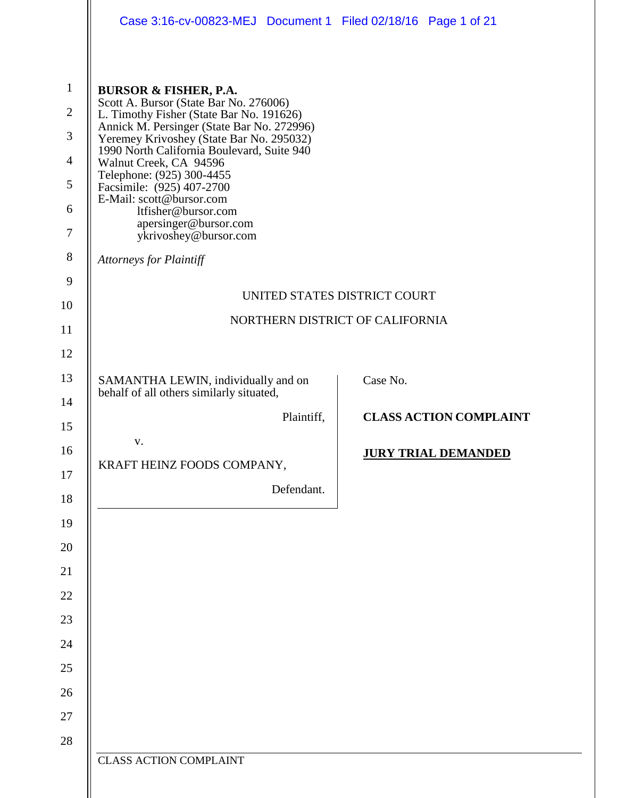|                                                                                                       | Case 3:16-cv-00823-MEJ Document 1 Filed 02/18/16 Page 1 of 21                                                                                                                                                                                                                                                                                                                                                                                                                             |                               |  |
|-------------------------------------------------------------------------------------------------------|-------------------------------------------------------------------------------------------------------------------------------------------------------------------------------------------------------------------------------------------------------------------------------------------------------------------------------------------------------------------------------------------------------------------------------------------------------------------------------------------|-------------------------------|--|
| $\mathbf{1}$<br>$\overline{2}$<br>3<br>$\overline{4}$<br>5<br>6<br>$\overline{7}$<br>$8\,$<br>9<br>10 | <b>BURSOR &amp; FISHER, P.A.</b><br>Scott A. Bursor (State Bar No. 276006)<br>L. Timothy Fisher (State Bar No. 191626)<br>Annick M. Persinger (State Bar No. 272996)<br>Yeremey Krivoshey (State Bar No. 295032)<br>1990 North California Boulevard, Suite 940<br>Walnut Creek, CA 94596<br>Telephone: (925) 300-4455<br>Facsimile: (925) 407-2700<br>E-Mail: scott@bursor.com<br>ltfisher@bursor.com<br>apersinger@bursor.com<br>ykrivoshey@bursor.com<br><b>Attorneys for Plaintiff</b> | UNITED STATES DISTRICT COURT  |  |
| 11                                                                                                    | NORTHERN DISTRICT OF CALIFORNIA                                                                                                                                                                                                                                                                                                                                                                                                                                                           |                               |  |
| 12                                                                                                    |                                                                                                                                                                                                                                                                                                                                                                                                                                                                                           |                               |  |
| 13                                                                                                    | SAMANTHA LEWIN, individually and on<br>behalf of all others similarly situated,                                                                                                                                                                                                                                                                                                                                                                                                           | Case No.                      |  |
| 14                                                                                                    | Plaintiff,                                                                                                                                                                                                                                                                                                                                                                                                                                                                                | <b>CLASS ACTION COMPLAINT</b> |  |
| 15                                                                                                    |                                                                                                                                                                                                                                                                                                                                                                                                                                                                                           |                               |  |
| 16<br>17<br>18<br>19<br>20<br>21<br>22<br>23<br>24<br>25<br>26<br>27                                  | V.<br>KRAFT HEINZ FOODS COMPANY,<br>Defendant.                                                                                                                                                                                                                                                                                                                                                                                                                                            | <b>JURY TRIAL DEMANDED</b>    |  |
| 28                                                                                                    | <b>CLASS ACTION COMPLAINT</b>                                                                                                                                                                                                                                                                                                                                                                                                                                                             |                               |  |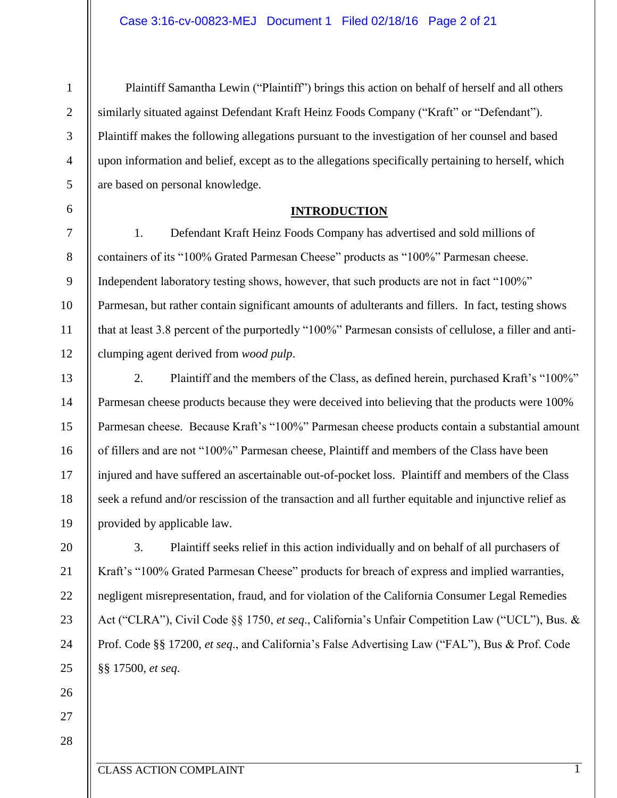1

6

7

8

9

10

11

12

13

14

15

16

17

18

19

20

21

22

23

24

25

Plaintiff Samantha Lewin ("Plaintiff") brings this action on behalf of herself and all others similarly situated against Defendant Kraft Heinz Foods Company ("Kraft" or "Defendant"). Plaintiff makes the following allegations pursuant to the investigation of her counsel and based upon information and belief, except as to the allegations specifically pertaining to herself, which are based on personal knowledge.

#### **INTRODUCTION**

1. Defendant Kraft Heinz Foods Company has advertised and sold millions of containers of its "100% Grated Parmesan Cheese" products as "100%" Parmesan cheese. Independent laboratory testing shows, however, that such products are not in fact "100%" Parmesan, but rather contain significant amounts of adulterants and fillers. In fact, testing shows that at least 3.8 percent of the purportedly "100%" Parmesan consists of cellulose, a filler and anticlumping agent derived from *wood pulp*.

2. Plaintiff and the members of the Class, as defined herein, purchased Kraft's "100%" Parmesan cheese products because they were deceived into believing that the products were 100% Parmesan cheese. Because Kraft's "100%" Parmesan cheese products contain a substantial amount of fillers and are not "100%" Parmesan cheese, Plaintiff and members of the Class have been injured and have suffered an ascertainable out-of-pocket loss. Plaintiff and members of the Class seek a refund and/or rescission of the transaction and all further equitable and injunctive relief as provided by applicable law.

3. Plaintiff seeks relief in this action individually and on behalf of all purchasers of Kraft's "100% Grated Parmesan Cheese" products for breach of express and implied warranties, negligent misrepresentation, fraud, and for violation of the California Consumer Legal Remedies Act ("CLRA"), Civil Code §§ 1750, *et seq*., California's Unfair Competition Law ("UCL"), Bus. & Prof. Code §§ 17200, *et seq*., and California's False Advertising Law ("FAL"), Bus & Prof. Code §§ 17500, *et seq*.

27

26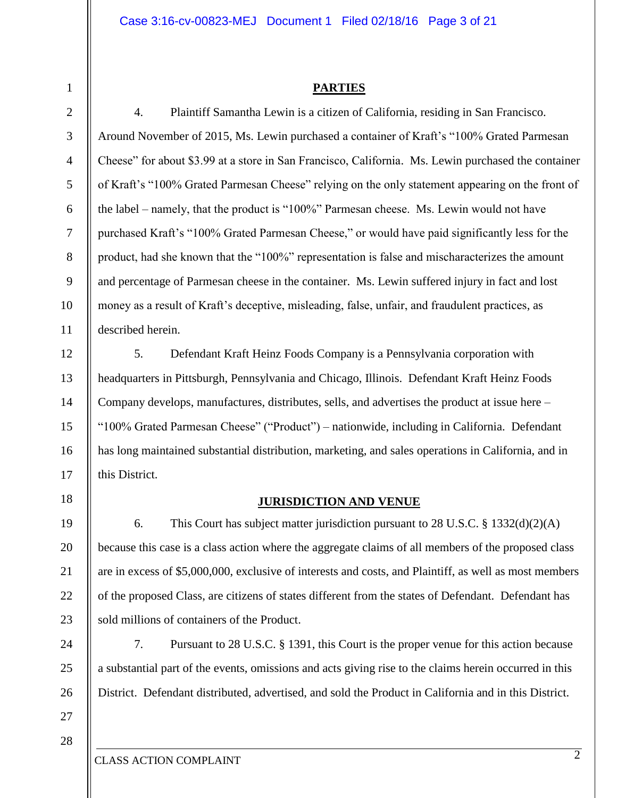#### **PARTIES**

4. Plaintiff Samantha Lewin is a citizen of California, residing in San Francisco. Around November of 2015, Ms. Lewin purchased a container of Kraft's "100% Grated Parmesan Cheese" for about \$3.99 at a store in San Francisco, California. Ms. Lewin purchased the container of Kraft's "100% Grated Parmesan Cheese" relying on the only statement appearing on the front of the label – namely, that the product is "100%" Parmesan cheese. Ms. Lewin would not have purchased Kraft's "100% Grated Parmesan Cheese," or would have paid significantly less for the product, had she known that the "100%" representation is false and mischaracterizes the amount and percentage of Parmesan cheese in the container. Ms. Lewin suffered injury in fact and lost money as a result of Kraft's deceptive, misleading, false, unfair, and fraudulent practices, as described herein.

5. Defendant Kraft Heinz Foods Company is a Pennsylvania corporation with headquarters in Pittsburgh, Pennsylvania and Chicago, Illinois. Defendant Kraft Heinz Foods Company develops, manufactures, distributes, sells, and advertises the product at issue here – "100% Grated Parmesan Cheese" ("Product") – nationwide, including in California. Defendant has long maintained substantial distribution, marketing, and sales operations in California, and in this District.

#### **JURISDICTION AND VENUE**

6. This Court has subject matter jurisdiction pursuant to 28 U.S.C. § 1332(d)(2)(A) because this case is a class action where the aggregate claims of all members of the proposed class are in excess of \$5,000,000, exclusive of interests and costs, and Plaintiff, as well as most members of the proposed Class, are citizens of states different from the states of Defendant. Defendant has sold millions of containers of the Product.

7. Pursuant to 28 U.S.C. § 1391, this Court is the proper venue for this action because a substantial part of the events, omissions and acts giving rise to the claims herein occurred in this District. Defendant distributed, advertised, and sold the Product in California and in this District.

27 28

1

2

3

4

5

6

7

8

9

10

11

12

13

14

15

16

17

18

19

20

21

22

23

24

25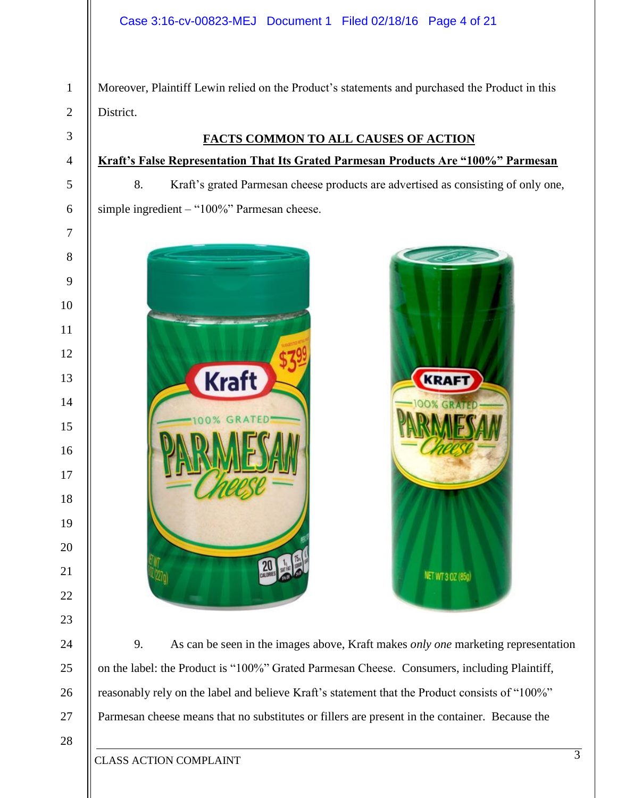Moreover, Plaintiff Lewin relied on the Product's statements and purchased the Product in this District.

#### **FACTS COMMON TO ALL CAUSES OF ACTION**

# **Kraft's False Representation That Its Grated Parmesan Products Are "100%" Parmesan**

8. Kraft's grated Parmesan cheese products are advertised as consisting of only one, simple ingredient – "100%" Parmesan cheese.





9. As can be seen in the images above, Kraft makes *only one* marketing representation on the label: the Product is "100%" Grated Parmesan Cheese. Consumers, including Plaintiff, reasonably rely on the label and believe Kraft's statement that the Product consists of "100%" Parmesan cheese means that no substitutes or fillers are present in the container. Because the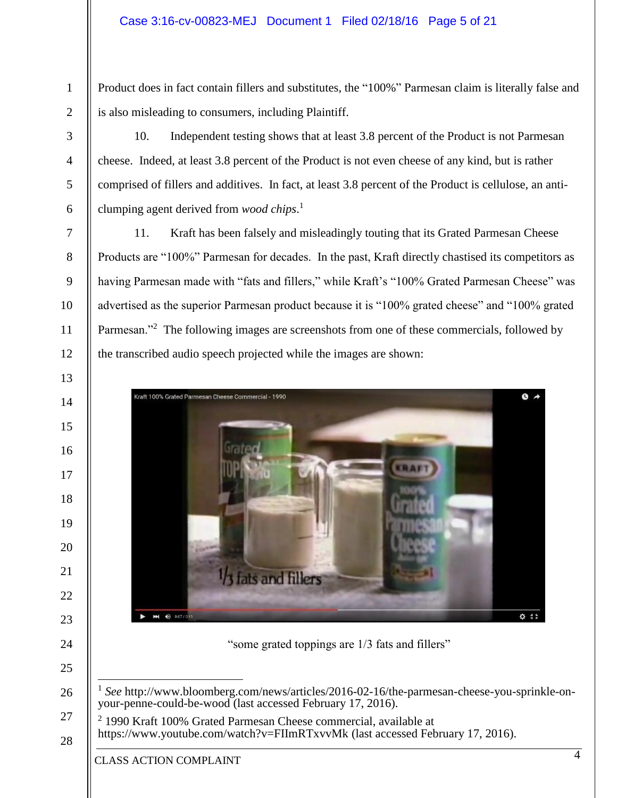Product does in fact contain fillers and substitutes, the "100%" Parmesan claim is literally false and is also misleading to consumers, including Plaintiff.

10. Independent testing shows that at least 3.8 percent of the Product is not Parmesan cheese. Indeed, at least 3.8 percent of the Product is not even cheese of any kind, but is rather comprised of fillers and additives. In fact, at least 3.8 percent of the Product is cellulose, an anticlumping agent derived from *wood chips*. 1

11. Kraft has been falsely and misleadingly touting that its Grated Parmesan Cheese Products are "100%" Parmesan for decades. In the past, Kraft directly chastised its competitors as having Parmesan made with "fats and fillers," while Kraft's "100% Grated Parmesan Cheese" was advertised as the superior Parmesan product because it is "100% grated cheese" and "100% grated Parmesan."<sup>2</sup> The following images are screenshots from one of these commercials, followed by the transcribed audio speech projected while the images are shown:



"some grated toppings are 1/3 fats and fillers"

CLASS ACTION COMPLAINT

 $\overline{a}$  *See* http://www.bloomberg.com/news/articles/2016-02-16/the-parmesan-cheese-you-sprinkle-onyour-penne-could-be-wood (last accessed February 17, 2016).

 1990 Kraft 100% Grated Parmesan Cheese commercial, available at https://www.youtube.com/watch?v=FIImRTxvvMk (last accessed February 17, 2016).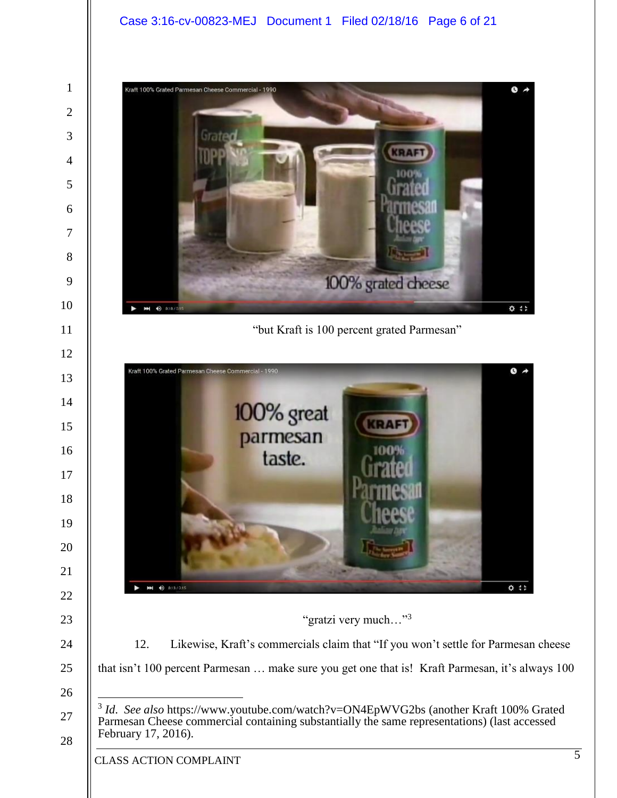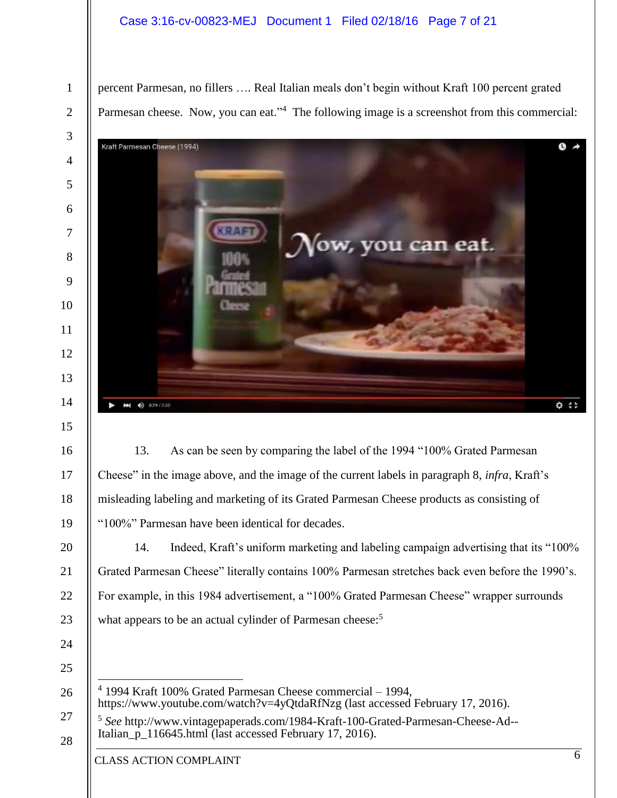#### Case 3:16-cv-00823-MEJ Document 1 Filed 02/18/16 Page 7 of 21

percent Parmesan, no fillers …. Real Italian meals don't begin without Kraft 100 percent grated Parmesan cheese. Now, you can eat."<sup>4</sup> The following image is a screenshot from this commercial:



13. As can be seen by comparing the label of the 1994 "100% Grated Parmesan Cheese" in the image above, and the image of the current labels in paragraph 8, *infra*, Kraft's misleading labeling and marketing of its Grated Parmesan Cheese products as consisting of "100%" Parmesan have been identical for decades.

14. Indeed, Kraft's uniform marketing and labeling campaign advertising that its "100% Grated Parmesan Cheese" literally contains 100% Parmesan stretches back even before the 1990's. For example, in this 1984 advertisement, a "100% Grated Parmesan Cheese" wrapper surrounds what appears to be an actual cylinder of Parmesan cheese:<sup>5</sup>

  $\overline{a}$  1994 Kraft 100% Grated Parmesan Cheese commercial – 1994, https://www.youtube.com/watch?v=4yQtdaRfNzg (last accessed February 17, 2016).

 *See* http://www.vintagepaperads.com/1984-Kraft-100-Grated-Parmesan-Cheese-Ad-- Italian p<sup>116645.html</sup> (last accessed February 17, 2016).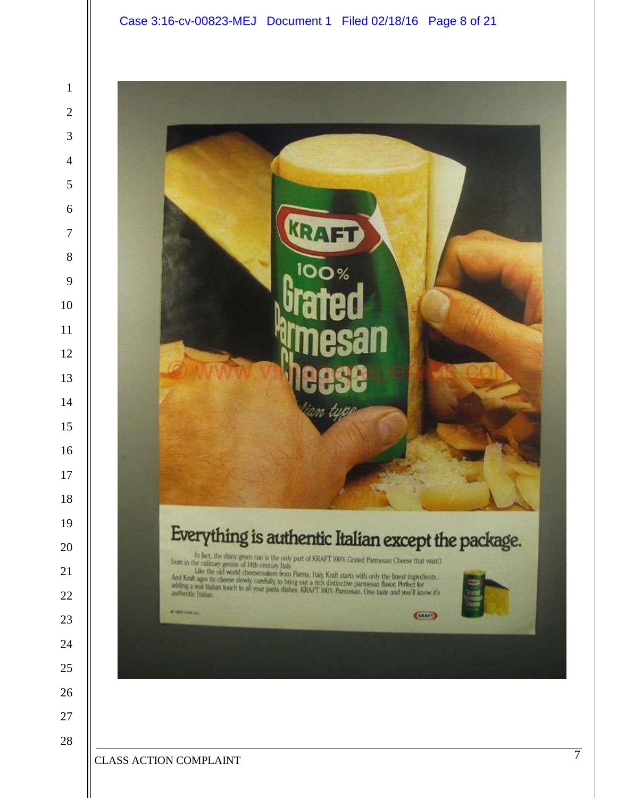

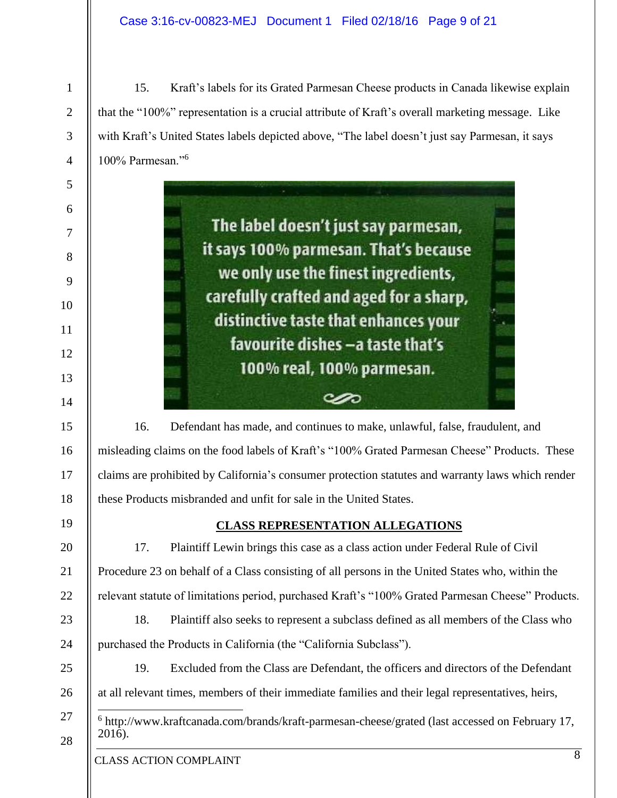15. Kraft's labels for its Grated Parmesan Cheese products in Canada likewise explain that the "100%" representation is a crucial attribute of Kraft's overall marketing message. Like with Kraft's United States labels depicted above, "The label doesn't just say Parmesan, it says 100% Parmesan."<sup>6</sup>

> The label doesn't just say parmesan, it says 100% parmesan. That's because we only use the finest ingredients, carefully crafted and aged for a sharp, distinctive taste that enhances your favourite dishes -a taste that's 100% real, 100% parmesan.

16. Defendant has made, and continues to make, unlawful, false, fraudulent, and misleading claims on the food labels of Kraft's "100% Grated Parmesan Cheese" Products. These claims are prohibited by California's consumer protection statutes and warranty laws which render these Products misbranded and unfit for sale in the United States.

مص

### 19 20

21

22

23

24

25

26

27

1

2

3

4

5

6

7

8

9

10

11

12

13

14

15

16

17

18

#### **CLASS REPRESENTATION ALLEGATIONS**

17. Plaintiff Lewin brings this case as a class action under Federal Rule of Civil Procedure 23 on behalf of a Class consisting of all persons in the United States who, within the relevant statute of limitations period, purchased Kraft's "100% Grated Parmesan Cheese" Products.

18. Plaintiff also seeks to represent a subclass defined as all members of the Class who purchased the Products in California (the "California Subclass").

19. Excluded from the Class are Defendant, the officers and directors of the Defendant at all relevant times, members of their immediate families and their legal representatives, heirs,

 $\overline{a}$ <sup>6</sup> http://www.kraftcanada.com/brands/kraft-parmesan-cheese/grated (last accessed on February 17, 2016).

#### CLASS ACTION COMPLAINT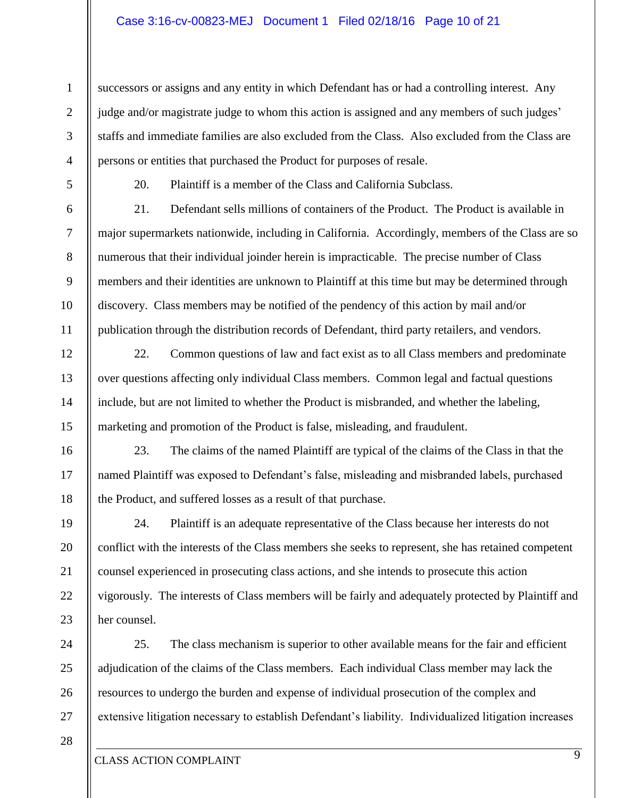#### Case 3:16-cv-00823-MEJ Document 1 Filed 02/18/16 Page 10 of 21

successors or assigns and any entity in which Defendant has or had a controlling interest. Any judge and/or magistrate judge to whom this action is assigned and any members of such judges' staffs and immediate families are also excluded from the Class. Also excluded from the Class are persons or entities that purchased the Product for purposes of resale.

1

2

3

4

5

6

7

8

9

10

11

12

13

14

15

16

17

18

19

20

21

22

23

24

25

26

27

20. Plaintiff is a member of the Class and California Subclass.

21. Defendant sells millions of containers of the Product. The Product is available in major supermarkets nationwide, including in California. Accordingly, members of the Class are so numerous that their individual joinder herein is impracticable. The precise number of Class members and their identities are unknown to Plaintiff at this time but may be determined through discovery. Class members may be notified of the pendency of this action by mail and/or publication through the distribution records of Defendant, third party retailers, and vendors.

22. Common questions of law and fact exist as to all Class members and predominate over questions affecting only individual Class members. Common legal and factual questions include, but are not limited to whether the Product is misbranded, and whether the labeling, marketing and promotion of the Product is false, misleading, and fraudulent.

23. The claims of the named Plaintiff are typical of the claims of the Class in that the named Plaintiff was exposed to Defendant's false, misleading and misbranded labels, purchased the Product, and suffered losses as a result of that purchase.

24. Plaintiff is an adequate representative of the Class because her interests do not conflict with the interests of the Class members she seeks to represent, she has retained competent counsel experienced in prosecuting class actions, and she intends to prosecute this action vigorously. The interests of Class members will be fairly and adequately protected by Plaintiff and her counsel.

25. The class mechanism is superior to other available means for the fair and efficient adjudication of the claims of the Class members. Each individual Class member may lack the resources to undergo the burden and expense of individual prosecution of the complex and extensive litigation necessary to establish Defendant's liability. Individualized litigation increases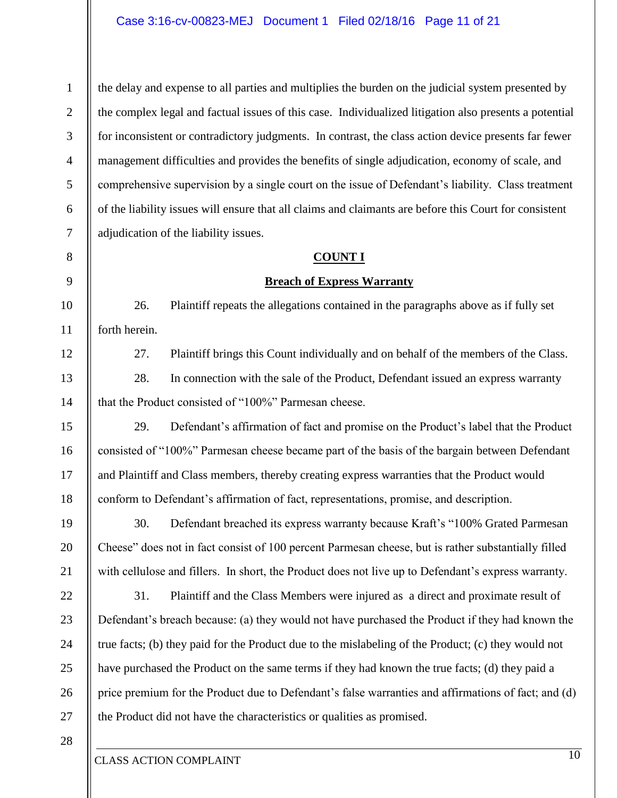the delay and expense to all parties and multiplies the burden on the judicial system presented by the complex legal and factual issues of this case. Individualized litigation also presents a potential for inconsistent or contradictory judgments. In contrast, the class action device presents far fewer management difficulties and provides the benefits of single adjudication, economy of scale, and comprehensive supervision by a single court on the issue of Defendant's liability. Class treatment of the liability issues will ensure that all claims and claimants are before this Court for consistent adjudication of the liability issues.

#### **COUNT I**

#### **Breach of Express Warranty**

26. Plaintiff repeats the allegations contained in the paragraphs above as if fully set forth herein.

27. Plaintiff brings this Count individually and on behalf of the members of the Class.

28. In connection with the sale of the Product, Defendant issued an express warranty that the Product consisted of "100%" Parmesan cheese.

29. Defendant's affirmation of fact and promise on the Product's label that the Product consisted of "100%" Parmesan cheese became part of the basis of the bargain between Defendant and Plaintiff and Class members, thereby creating express warranties that the Product would conform to Defendant's affirmation of fact, representations, promise, and description.

30. Defendant breached its express warranty because Kraft's "100% Grated Parmesan Cheese" does not in fact consist of 100 percent Parmesan cheese, but is rather substantially filled with cellulose and fillers. In short, the Product does not live up to Defendant's express warranty.

22 23 24 25 26 27 31. Plaintiff and the Class Members were injured as a direct and proximate result of Defendant's breach because: (a) they would not have purchased the Product if they had known the true facts; (b) they paid for the Product due to the mislabeling of the Product; (c) they would not have purchased the Product on the same terms if they had known the true facts; (d) they paid a price premium for the Product due to Defendant's false warranties and affirmations of fact; and (d) the Product did not have the characteristics or qualities as promised.

28

1

2

3

4

5

6

7

8

9

10

11

12

13

14

15

16

17

18

19

20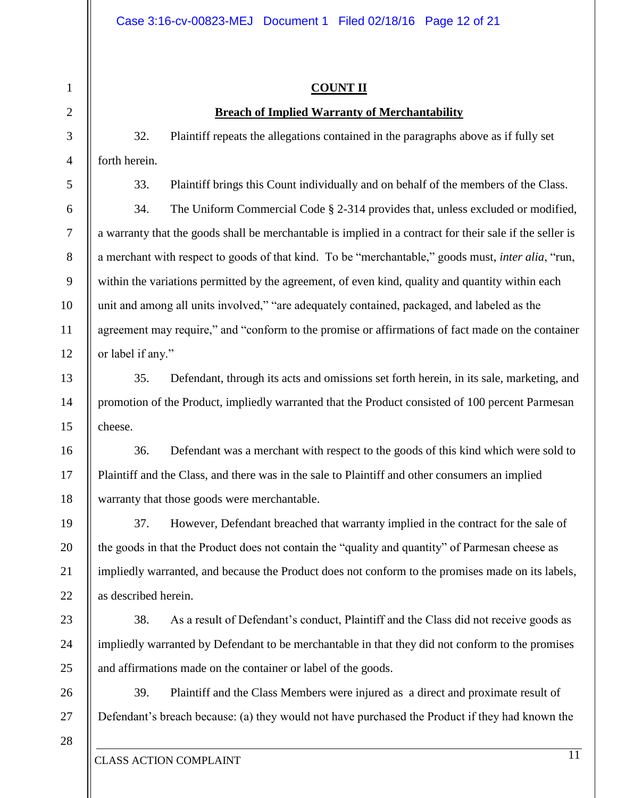#### **COUNT II**

#### **Breach of Implied Warranty of Merchantability**

32. Plaintiff repeats the allegations contained in the paragraphs above as if fully set forth herein.

33. Plaintiff brings this Count individually and on behalf of the members of the Class.

34. The Uniform Commercial Code § 2-314 provides that, unless excluded or modified, a warranty that the goods shall be merchantable is implied in a contract for their sale if the seller is a merchant with respect to goods of that kind. To be "merchantable," goods must, *inter alia*, "run, within the variations permitted by the agreement, of even kind, quality and quantity within each unit and among all units involved," "are adequately contained, packaged, and labeled as the agreement may require," and "conform to the promise or affirmations of fact made on the container or label if any."

35. Defendant, through its acts and omissions set forth herein, in its sale, marketing, and promotion of the Product, impliedly warranted that the Product consisted of 100 percent Parmesan cheese.

36. Defendant was a merchant with respect to the goods of this kind which were sold to Plaintiff and the Class, and there was in the sale to Plaintiff and other consumers an implied warranty that those goods were merchantable.

37. However, Defendant breached that warranty implied in the contract for the sale of the goods in that the Product does not contain the "quality and quantity" of Parmesan cheese as impliedly warranted, and because the Product does not conform to the promises made on its labels, as described herein.

38. As a result of Defendant's conduct, Plaintiff and the Class did not receive goods as impliedly warranted by Defendant to be merchantable in that they did not conform to the promises and affirmations made on the container or label of the goods.

39. Plaintiff and the Class Members were injured as a direct and proximate result of Defendant's breach because: (a) they would not have purchased the Product if they had known the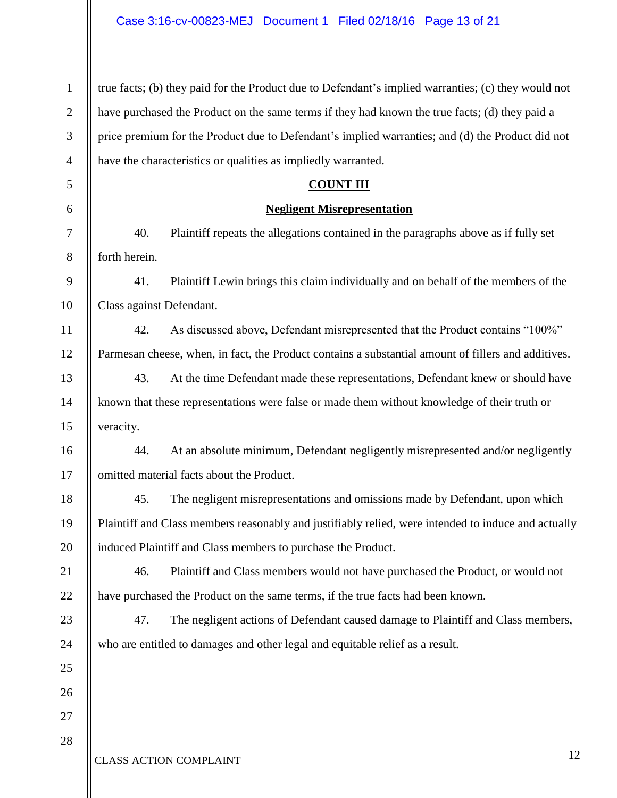| $\mathbf{1}$   | true facts; (b) they paid for the Product due to Defendant's implied warranties; (c) they would not |  |  |  |
|----------------|-----------------------------------------------------------------------------------------------------|--|--|--|
| $\overline{2}$ | have purchased the Product on the same terms if they had known the true facts; (d) they paid a      |  |  |  |
| 3              | price premium for the Product due to Defendant's implied warranties; and (d) the Product did not    |  |  |  |
| $\overline{4}$ | have the characteristics or qualities as impliedly warranted.                                       |  |  |  |
| 5              | <b>COUNT III</b>                                                                                    |  |  |  |
| 6              | <b>Negligent Misrepresentation</b>                                                                  |  |  |  |
| 7              | 40.<br>Plaintiff repeats the allegations contained in the paragraphs above as if fully set          |  |  |  |
| $8\,$          | forth herein.                                                                                       |  |  |  |
| 9              | Plaintiff Lewin brings this claim individually and on behalf of the members of the<br>41.           |  |  |  |
| 10             | Class against Defendant.                                                                            |  |  |  |
| 11             | 42.<br>As discussed above, Defendant misrepresented that the Product contains "100%"                |  |  |  |
| 12             | Parmesan cheese, when, in fact, the Product contains a substantial amount of fillers and additives. |  |  |  |
| 13             | 43.<br>At the time Defendant made these representations, Defendant knew or should have              |  |  |  |
| 14             | known that these representations were false or made them without knowledge of their truth or        |  |  |  |
| 15             | veracity.                                                                                           |  |  |  |
| 16             | At an absolute minimum, Defendant negligently misrepresented and/or negligently<br>44.              |  |  |  |
| 17             | omitted material facts about the Product.                                                           |  |  |  |
| 18             | The negligent misrepresentations and omissions made by Defendant, upon which<br>45.                 |  |  |  |
| 19             | Plaintiff and Class members reasonably and justifiably relied, were intended to induce and actually |  |  |  |
| 20             | induced Plaintiff and Class members to purchase the Product.                                        |  |  |  |
| 21             | 46.<br>Plaintiff and Class members would not have purchased the Product, or would not               |  |  |  |
| 22             | have purchased the Product on the same terms, if the true facts had been known.                     |  |  |  |
| 23             | 47.<br>The negligent actions of Defendant caused damage to Plaintiff and Class members,             |  |  |  |
| 24             | who are entitled to damages and other legal and equitable relief as a result.                       |  |  |  |
| 25             |                                                                                                     |  |  |  |
| 26             |                                                                                                     |  |  |  |
| 27             |                                                                                                     |  |  |  |
| 28             | 12                                                                                                  |  |  |  |
|                | <b>CLASS ACTION COMPLAINT</b>                                                                       |  |  |  |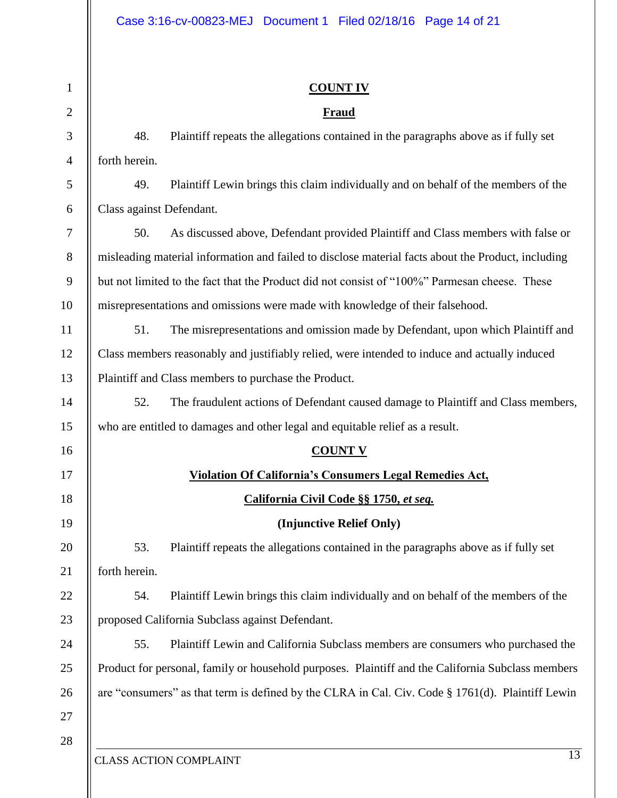| $\mathbf{1}$   | <b>COUNT IV</b>                                                                                    |                                                                                                  |  |
|----------------|----------------------------------------------------------------------------------------------------|--------------------------------------------------------------------------------------------------|--|
| $\overline{2}$ |                                                                                                    | <b>Fraud</b>                                                                                     |  |
| 3              | 48.                                                                                                | Plaintiff repeats the allegations contained in the paragraphs above as if fully set              |  |
| $\overline{4}$ | forth herein.                                                                                      |                                                                                                  |  |
| 5              | 49.                                                                                                | Plaintiff Lewin brings this claim individually and on behalf of the members of the               |  |
| 6              | Class against Defendant.                                                                           |                                                                                                  |  |
| 7              | 50.                                                                                                | As discussed above, Defendant provided Plaintiff and Class members with false or                 |  |
| 8              | misleading material information and failed to disclose material facts about the Product, including |                                                                                                  |  |
| 9              | but not limited to the fact that the Product did not consist of "100%" Parmesan cheese. These      |                                                                                                  |  |
| 10             | misrepresentations and omissions were made with knowledge of their falsehood.                      |                                                                                                  |  |
| 11             | 51.                                                                                                | The misrepresentations and omission made by Defendant, upon which Plaintiff and                  |  |
| 12             | Class members reasonably and justifiably relied, were intended to induce and actually induced      |                                                                                                  |  |
| 13             | Plaintiff and Class members to purchase the Product.                                               |                                                                                                  |  |
| 14             | 52.                                                                                                | The fraudulent actions of Defendant caused damage to Plaintiff and Class members,                |  |
| 15             | who are entitled to damages and other legal and equitable relief as a result.                      |                                                                                                  |  |
| 16             |                                                                                                    | <b>COUNT V</b>                                                                                   |  |
| 17             |                                                                                                    | Violation Of California's Consumers Legal Remedies Act,                                          |  |
| 18             |                                                                                                    | California Civil Code §§ 1750, et seq.                                                           |  |
| 19             |                                                                                                    | (Injunctive Relief Only)                                                                         |  |
| 20             | 53.                                                                                                | Plaintiff repeats the allegations contained in the paragraphs above as if fully set              |  |
| 21             | forth herein.                                                                                      |                                                                                                  |  |
| 22             | 54.                                                                                                | Plaintiff Lewin brings this claim individually and on behalf of the members of the               |  |
| 23             | proposed California Subclass against Defendant.                                                    |                                                                                                  |  |
| 24             | 55.                                                                                                | Plaintiff Lewin and California Subclass members are consumers who purchased the                  |  |
| 25             | Product for personal, family or household purposes. Plaintiff and the California Subclass members  |                                                                                                  |  |
| 26             |                                                                                                    | are "consumers" as that term is defined by the CLRA in Cal. Civ. Code § 1761(d). Plaintiff Lewin |  |
| 27             |                                                                                                    |                                                                                                  |  |
| 28             |                                                                                                    |                                                                                                  |  |
|                | <b>CLASS ACTION COMPLAINT</b>                                                                      | $\overline{13}$                                                                                  |  |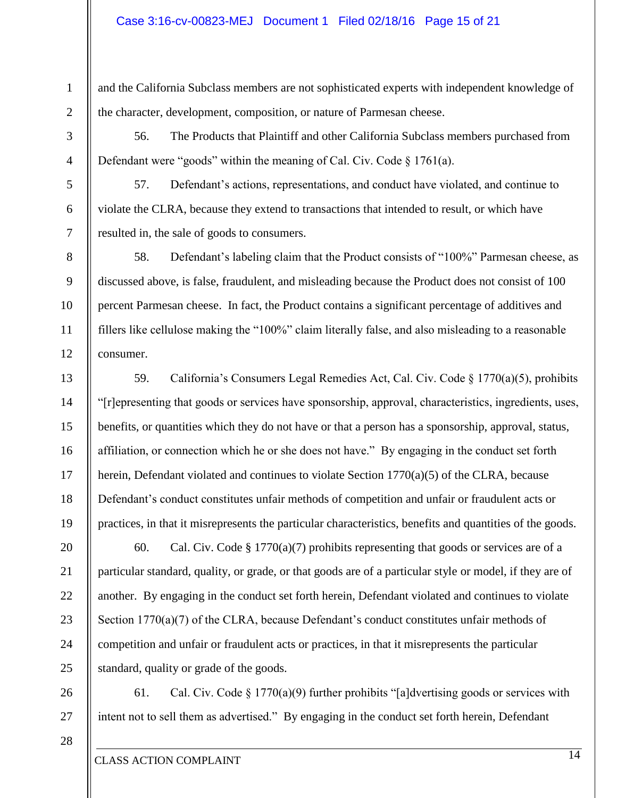#### Case 3:16-cv-00823-MEJ Document 1 Filed 02/18/16 Page 15 of 21

and the California Subclass members are not sophisticated experts with independent knowledge of the character, development, composition, or nature of Parmesan cheese.

56. The Products that Plaintiff and other California Subclass members purchased from Defendant were "goods" within the meaning of Cal. Civ. Code § 1761(a).

57. Defendant's actions, representations, and conduct have violated, and continue to violate the CLRA, because they extend to transactions that intended to result, or which have resulted in, the sale of goods to consumers.

58. Defendant's labeling claim that the Product consists of "100%" Parmesan cheese, as discussed above, is false, fraudulent, and misleading because the Product does not consist of 100 percent Parmesan cheese. In fact, the Product contains a significant percentage of additives and fillers like cellulose making the "100%" claim literally false, and also misleading to a reasonable consumer.

59. California's Consumers Legal Remedies Act, Cal. Civ. Code § 1770(a)(5), prohibits "[r]epresenting that goods or services have sponsorship, approval, characteristics, ingredients, uses, benefits, or quantities which they do not have or that a person has a sponsorship, approval, status, affiliation, or connection which he or she does not have." By engaging in the conduct set forth herein, Defendant violated and continues to violate Section 1770(a)(5) of the CLRA, because Defendant's conduct constitutes unfair methods of competition and unfair or fraudulent acts or practices, in that it misrepresents the particular characteristics, benefits and quantities of the goods.

60. Cal. Civ. Code  $\S 1770(a)(7)$  prohibits representing that goods or services are of a particular standard, quality, or grade, or that goods are of a particular style or model, if they are of another. By engaging in the conduct set forth herein, Defendant violated and continues to violate Section 1770(a)(7) of the CLRA, because Defendant's conduct constitutes unfair methods of competition and unfair or fraudulent acts or practices, in that it misrepresents the particular standard, quality or grade of the goods.

26 27 61. Cal. Civ. Code  $\S 1770(a)(9)$  further prohibits "[a]dvertising goods or services with intent not to sell them as advertised." By engaging in the conduct set forth herein, Defendant

1

2

3

4

5

6

7

8

9

10

11

12

13

14

15

16

17

18

19

20

21

22

23

24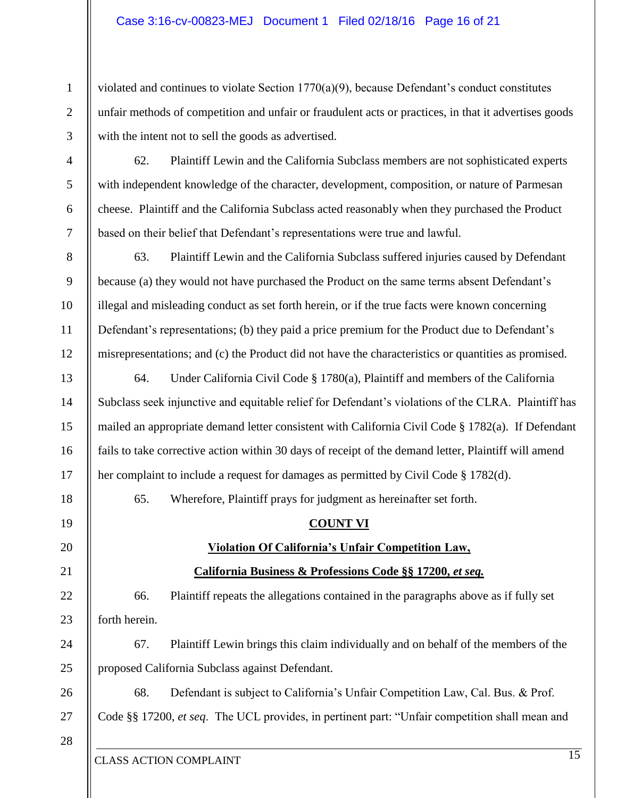violated and continues to violate Section 1770(a)(9), because Defendant's conduct constitutes unfair methods of competition and unfair or fraudulent acts or practices, in that it advertises goods with the intent not to sell the goods as advertised.

62. Plaintiff Lewin and the California Subclass members are not sophisticated experts with independent knowledge of the character, development, composition, or nature of Parmesan cheese. Plaintiff and the California Subclass acted reasonably when they purchased the Product based on their belief that Defendant's representations were true and lawful.

63. Plaintiff Lewin and the California Subclass suffered injuries caused by Defendant because (a) they would not have purchased the Product on the same terms absent Defendant's illegal and misleading conduct as set forth herein, or if the true facts were known concerning Defendant's representations; (b) they paid a price premium for the Product due to Defendant's misrepresentations; and (c) the Product did not have the characteristics or quantities as promised.

64. Under California Civil Code § 1780(a), Plaintiff and members of the California Subclass seek injunctive and equitable relief for Defendant's violations of the CLRA. Plaintiff has mailed an appropriate demand letter consistent with California Civil Code § 1782(a). If Defendant fails to take corrective action within 30 days of receipt of the demand letter, Plaintiff will amend her complaint to include a request for damages as permitted by Civil Code § 1782(d).

65. Wherefore, Plaintiff prays for judgment as hereinafter set forth.

#### **COUNT VI**

## **Violation Of California's Unfair Competition Law,**

#### **California Business & Professions Code §§ 17200,** *et seq.*

66. Plaintiff repeats the allegations contained in the paragraphs above as if fully set forth herein.

67. Plaintiff Lewin brings this claim individually and on behalf of the members of the proposed California Subclass against Defendant.

26 27 68. Defendant is subject to California's Unfair Competition Law, Cal. Bus. & Prof. Code §§ 17200, *et seq*. The UCL provides, in pertinent part: "Unfair competition shall mean and

28

1

2

3

4

5

6

7

8

9

10

11

12

13

14

15

16

17

18

19

20

21

22

23

24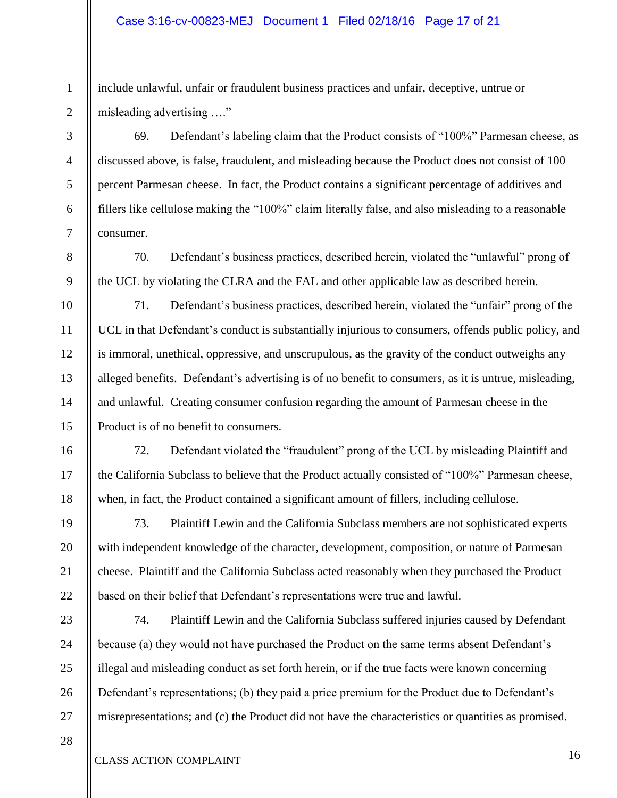#### Case 3:16-cv-00823-MEJ Document 1 Filed 02/18/16 Page 17 of 21

include unlawful, unfair or fraudulent business practices and unfair, deceptive, untrue or misleading advertising …."

69. Defendant's labeling claim that the Product consists of "100%" Parmesan cheese, as discussed above, is false, fraudulent, and misleading because the Product does not consist of 100 percent Parmesan cheese. In fact, the Product contains a significant percentage of additives and fillers like cellulose making the "100%" claim literally false, and also misleading to a reasonable consumer.

70. Defendant's business practices, described herein, violated the "unlawful" prong of the UCL by violating the CLRA and the FAL and other applicable law as described herein.

71. Defendant's business practices, described herein, violated the "unfair" prong of the UCL in that Defendant's conduct is substantially injurious to consumers, offends public policy, and is immoral, unethical, oppressive, and unscrupulous, as the gravity of the conduct outweighs any alleged benefits. Defendant's advertising is of no benefit to consumers, as it is untrue, misleading, and unlawful. Creating consumer confusion regarding the amount of Parmesan cheese in the Product is of no benefit to consumers.

72. Defendant violated the "fraudulent" prong of the UCL by misleading Plaintiff and the California Subclass to believe that the Product actually consisted of "100%" Parmesan cheese, when, in fact, the Product contained a significant amount of fillers, including cellulose.

73. Plaintiff Lewin and the California Subclass members are not sophisticated experts with independent knowledge of the character, development, composition, or nature of Parmesan cheese. Plaintiff and the California Subclass acted reasonably when they purchased the Product based on their belief that Defendant's representations were true and lawful.

74. Plaintiff Lewin and the California Subclass suffered injuries caused by Defendant because (a) they would not have purchased the Product on the same terms absent Defendant's illegal and misleading conduct as set forth herein, or if the true facts were known concerning Defendant's representations; (b) they paid a price premium for the Product due to Defendant's misrepresentations; and (c) the Product did not have the characteristics or quantities as promised.

28

27

1

2

3

4

5

6

7

8

9

10

11

12

13

14

15

16

17

18

19

20

21

22

23

24

25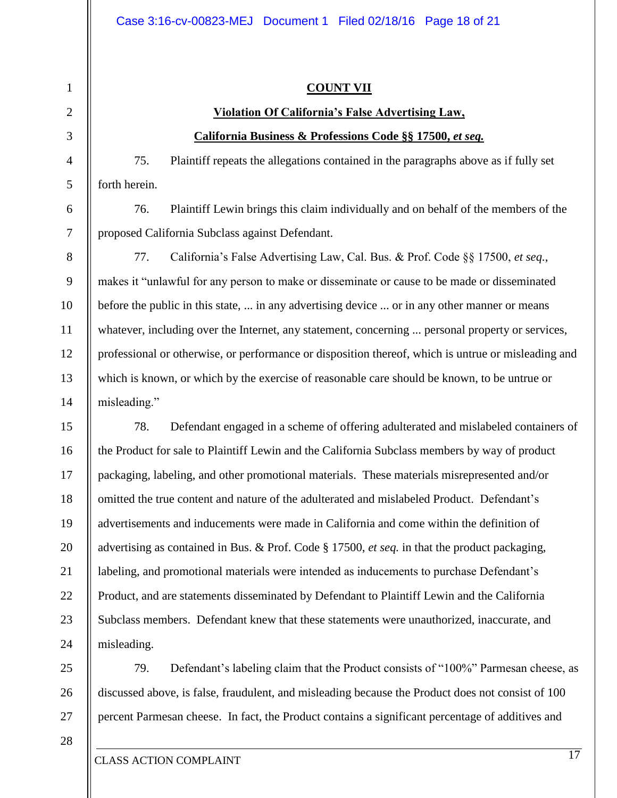#### **COUNT VII**

## **Violation Of California's False Advertising Law, California Business & Professions Code §§ 17500,** *et seq.*

75. Plaintiff repeats the allegations contained in the paragraphs above as if fully set forth herein.

76. Plaintiff Lewin brings this claim individually and on behalf of the members of the proposed California Subclass against Defendant.

77. California's False Advertising Law, Cal. Bus. & Prof. Code §§ 17500, *et seq.*, makes it "unlawful for any person to make or disseminate or cause to be made or disseminated before the public in this state, ... in any advertising device ... or in any other manner or means whatever, including over the Internet, any statement, concerning ... personal property or services, professional or otherwise, or performance or disposition thereof, which is untrue or misleading and which is known, or which by the exercise of reasonable care should be known, to be untrue or misleading."

78. Defendant engaged in a scheme of offering adulterated and mislabeled containers of the Product for sale to Plaintiff Lewin and the California Subclass members by way of product packaging, labeling, and other promotional materials. These materials misrepresented and/or omitted the true content and nature of the adulterated and mislabeled Product. Defendant's advertisements and inducements were made in California and come within the definition of advertising as contained in Bus. & Prof. Code § 17500, *et seq.* in that the product packaging, labeling, and promotional materials were intended as inducements to purchase Defendant's Product, and are statements disseminated by Defendant to Plaintiff Lewin and the California Subclass members. Defendant knew that these statements were unauthorized, inaccurate, and misleading.

79. Defendant's labeling claim that the Product consists of "100%" Parmesan cheese, as discussed above, is false, fraudulent, and misleading because the Product does not consist of 100 percent Parmesan cheese. In fact, the Product contains a significant percentage of additives and

28

1

2

3

4

5

6

7

8

9

10

11

12

13

14

15

16

17

18

19

20

21

22

23

24

25

26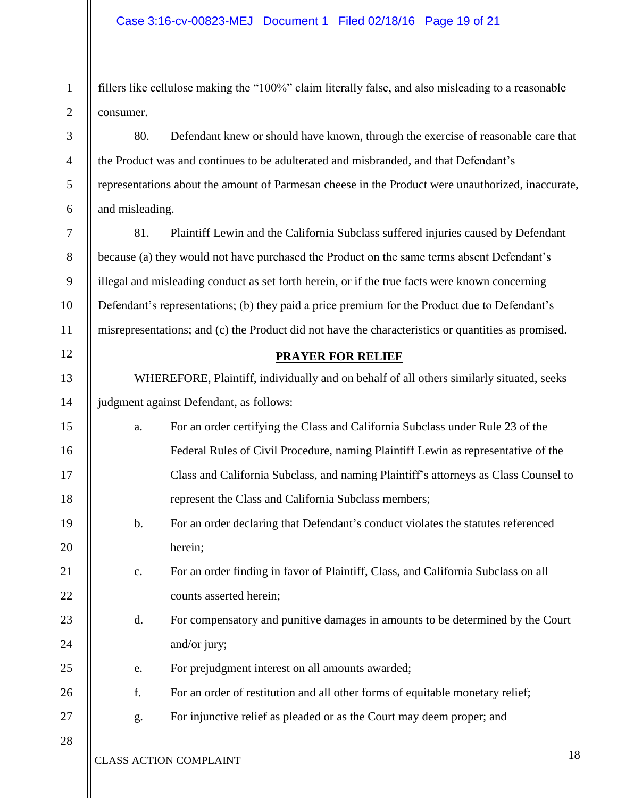2 fillers like cellulose making the "100%" claim literally false, and also misleading to a reasonable consumer.

80. Defendant knew or should have known, through the exercise of reasonable care that the Product was and continues to be adulterated and misbranded, and that Defendant's representations about the amount of Parmesan cheese in the Product were unauthorized, inaccurate, and misleading.

81. Plaintiff Lewin and the California Subclass suffered injuries caused by Defendant because (a) they would not have purchased the Product on the same terms absent Defendant's illegal and misleading conduct as set forth herein, or if the true facts were known concerning Defendant's representations; (b) they paid a price premium for the Product due to Defendant's misrepresentations; and (c) the Product did not have the characteristics or quantities as promised.

#### **PRAYER FOR RELIEF**

WHEREFORE, Plaintiff, individually and on behalf of all others similarly situated, seeks judgment against Defendant, as follows:

- a. For an order certifying the Class and California Subclass under Rule 23 of the Federal Rules of Civil Procedure, naming Plaintiff Lewin as representative of the Class and California Subclass, and naming Plaintiff's attorneys as Class Counsel to represent the Class and California Subclass members;
	- b. For an order declaring that Defendant's conduct violates the statutes referenced herein;
- c. For an order finding in favor of Plaintiff, Class, and California Subclass on all counts asserted herein;
- d. For compensatory and punitive damages in amounts to be determined by the Court and/or jury;
	- e. For prejudgment interest on all amounts awarded;
- f. For an order of restitution and all other forms of equitable monetary relief;
- g. For injunctive relief as pleaded or as the Court may deem proper; and

1

3

4

5

6

7

8

9

10

11

12

13

14

15

16

17

18

19

20

21

22

23

24

25

26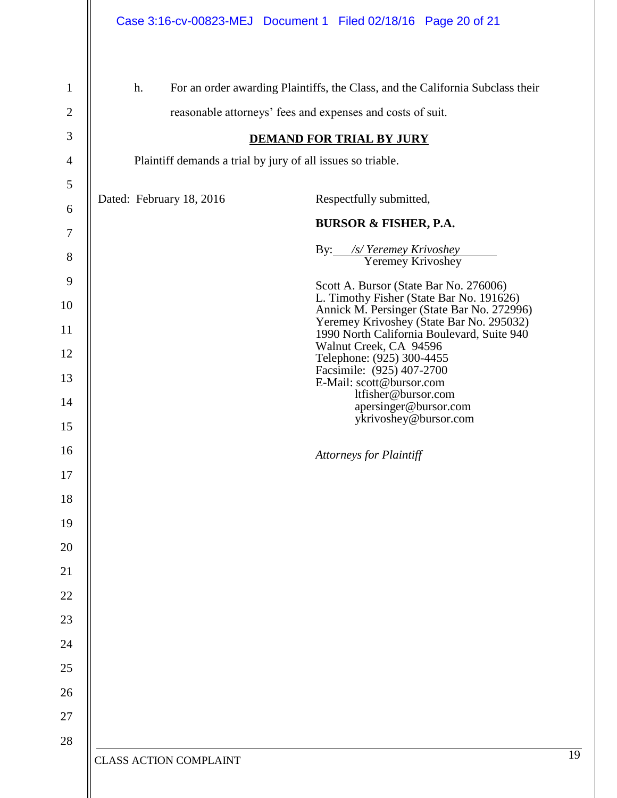|                                |                                                                                                                                                    | Case 3:16-cv-00823-MEJ Document 1 Filed 02/18/16 Page 20 of 21                         |  |  |  |
|--------------------------------|----------------------------------------------------------------------------------------------------------------------------------------------------|----------------------------------------------------------------------------------------|--|--|--|
| $\mathbf{1}$<br>$\overline{2}$ | For an order awarding Plaintiffs, the Class, and the California Subclass their<br>h.<br>reasonable attorneys' fees and expenses and costs of suit. |                                                                                        |  |  |  |
| 3<br>$\overline{4}$            | <b>DEMAND FOR TRIAL BY JURY</b>                                                                                                                    |                                                                                        |  |  |  |
| 5                              | Plaintiff demands a trial by jury of all issues so triable.                                                                                        |                                                                                        |  |  |  |
| 6                              | Dated: February 18, 2016                                                                                                                           | Respectfully submitted,                                                                |  |  |  |
| $\tau$                         |                                                                                                                                                    | <b>BURSOR &amp; FISHER, P.A.</b>                                                       |  |  |  |
| 8                              |                                                                                                                                                    | By: /s/Yeremey Krivoshey<br>Yeremey Krivoshey                                          |  |  |  |
| 9                              |                                                                                                                                                    | Scott A. Bursor (State Bar No. 276006)                                                 |  |  |  |
| 10                             |                                                                                                                                                    | L. Timothy Fisher (State Bar No. 191626)<br>Annick M. Persinger (State Bar No. 272996) |  |  |  |
| 11                             |                                                                                                                                                    | Yeremey Krivoshey (State Bar No. 295032)<br>1990 North California Boulevard, Suite 940 |  |  |  |
| 12                             |                                                                                                                                                    | Walnut Creek, CA 94596<br>Telephone: (925) 300-4455                                    |  |  |  |
| 13                             | Facsimile: (925) 407-2700<br>E-Mail: scott@bursor.com                                                                                              |                                                                                        |  |  |  |
| 14<br>15                       |                                                                                                                                                    | ltfisher@bursor.com<br>apersinger@bursor.com<br>ykrivoshey@bursor.com                  |  |  |  |
| 16                             |                                                                                                                                                    |                                                                                        |  |  |  |
| 17                             |                                                                                                                                                    | Attorneys for Plaintiff                                                                |  |  |  |
| 18                             |                                                                                                                                                    |                                                                                        |  |  |  |
| 19                             |                                                                                                                                                    |                                                                                        |  |  |  |
| 20                             |                                                                                                                                                    |                                                                                        |  |  |  |
| 21                             |                                                                                                                                                    |                                                                                        |  |  |  |
| $22\,$                         |                                                                                                                                                    |                                                                                        |  |  |  |
| 23                             |                                                                                                                                                    |                                                                                        |  |  |  |
| $24\,$                         |                                                                                                                                                    |                                                                                        |  |  |  |
| 25                             |                                                                                                                                                    |                                                                                        |  |  |  |
| 26                             |                                                                                                                                                    |                                                                                        |  |  |  |
| 27                             |                                                                                                                                                    |                                                                                        |  |  |  |
| 28                             |                                                                                                                                                    |                                                                                        |  |  |  |
|                                | <b>CLASS ACTION COMPLAINT</b>                                                                                                                      |                                                                                        |  |  |  |